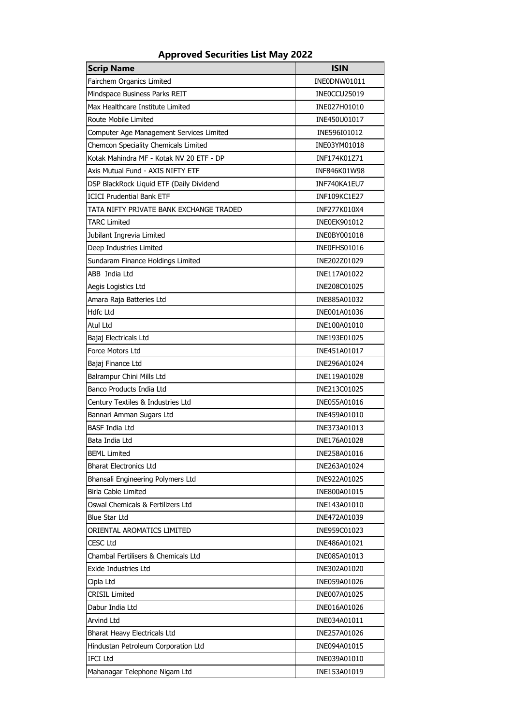| <b>Scrip Name</b>                        | <b>ISIN</b>  |
|------------------------------------------|--------------|
| Fairchem Organics Limited                | INE0DNW01011 |
| Mindspace Business Parks REIT            | INE0CCU25019 |
| Max Healthcare Institute Limited         | INE027H01010 |
| Route Mobile Limited                     | INE450U01017 |
| Computer Age Management Services Limited | INE596I01012 |
| Chemcon Speciality Chemicals Limited     | INE03YM01018 |
| Kotak Mahindra MF - Kotak NV 20 ETF - DP | INF174K01Z71 |
| Axis Mutual Fund - AXIS NIFTY ETF        | INF846K01W98 |
| DSP BlackRock Liquid ETF (Daily Dividend | INF740KA1EU7 |
| <b>ICICI Prudential Bank ETF</b>         | INF109KC1E27 |
| TATA NIFTY PRIVATE BANK EXCHANGE TRADED  | INF277K010X4 |
| TARC Limited                             | INE0EK901012 |
| Jubilant Ingrevia Limited                | INE0BY001018 |
| Deep Industries Limited                  | INE0FHS01016 |
| Sundaram Finance Holdings Limited        | INE202Z01029 |
| ABB India Ltd                            | INE117A01022 |
| Aegis Logistics Ltd                      | INE208C01025 |
| Amara Raja Batteries Ltd                 | INE885A01032 |
| <b>Hdfc Ltd</b>                          | INE001A01036 |
| Atul Ltd                                 | INE100A01010 |
| Bajaj Electricals Ltd                    | INE193E01025 |
| Force Motors Ltd                         | INE451A01017 |
| Bajaj Finance Ltd                        | INE296A01024 |
| Balrampur Chini Mills Ltd                | INE119A01028 |
| Banco Products India Ltd                 | INE213C01025 |
| Century Textiles & Industries Ltd        | INE055A01016 |
| Bannari Amman Sugars Ltd                 | INE459A01010 |
| <b>BASF India Ltd</b>                    | INE373A01013 |
| Bata India Ltd                           | INE176A01028 |
| <b>BEML Limited</b>                      | INE258A01016 |
| <b>Bharat Electronics Ltd</b>            | INE263A01024 |
| Bhansali Engineering Polymers Ltd        | INE922A01025 |
| <b>Birla Cable Limited</b>               | INE800A01015 |
| Oswal Chemicals & Fertilizers Ltd        | INE143A01010 |
| <b>Blue Star Ltd</b>                     | INE472A01039 |
| ORIENTAL AROMATICS LIMITED               | INE959C01023 |
| CESC Ltd                                 | INE486A01021 |
| Chambal Fertilisers & Chemicals Ltd      | INE085A01013 |
| Exide Industries Ltd                     | INE302A01020 |
| Cipla Ltd                                | INE059A01026 |
| CRISIL Limited                           | INE007A01025 |
| Dabur India Ltd                          | INE016A01026 |
| Arvind Ltd                               | INE034A01011 |
| Bharat Heavy Electricals Ltd             | INE257A01026 |
| Hindustan Petroleum Corporation Ltd      | INE094A01015 |
| <b>IFCI Ltd</b>                          | INE039A01010 |
| Mahanagar Telephone Nigam Ltd            | INE153A01019 |

## **Approved Securities List May 2022**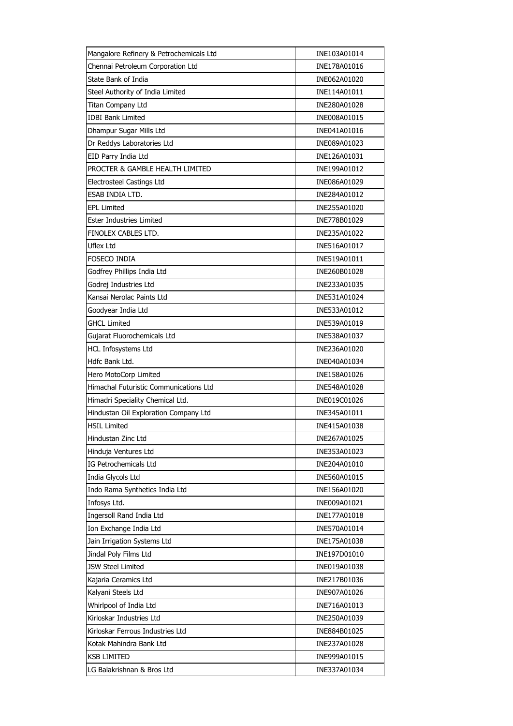| Mangalore Refinery & Petrochemicals Ltd | INE103A01014 |
|-----------------------------------------|--------------|
| Chennai Petroleum Corporation Ltd       | INE178A01016 |
| State Bank of India                     | INE062A01020 |
| Steel Authority of India Limited        | INE114A01011 |
| Titan Company Ltd                       | INE280A01028 |
| <b>IDBI Bank Limited</b>                | INE008A01015 |
| Dhampur Sugar Mills Ltd                 | INE041A01016 |
| Dr Reddys Laboratories Ltd              | INE089A01023 |
| EID Parry India Ltd                     | INE126A01031 |
| PROCTER & GAMBLE HEALTH LIMITED         | INE199A01012 |
| Electrosteel Castings Ltd               | INE086A01029 |
| ESAB INDIA LTD.                         | INE284A01012 |
| <b>EPL Limited</b>                      | INE255A01020 |
| Ester Industries Limited                | INE778B01029 |
| FINOLEX CABLES LTD.                     | INE235A01022 |
| <b>Uflex Ltd</b>                        | INE516A01017 |
| Foseco india                            | INE519A01011 |
| Godfrey Phillips India Ltd              | INE260B01028 |
| Godrej Industries Ltd                   | INE233A01035 |
| Kansai Nerolac Paints Ltd               | INE531A01024 |
| Goodyear India Ltd                      | INE533A01012 |
| <b>GHCL Limited</b>                     | INE539A01019 |
| Gujarat Fluorochemicals Ltd             | INE538A01037 |
| <b>HCL Infosystems Ltd</b>              | INE236A01020 |
| Hdfc Bank Ltd.                          | INE040A01034 |
| Hero MotoCorp Limited                   | INE158A01026 |
| Himachal Futuristic Communications Ltd  | INE548A01028 |
| Himadri Speciality Chemical Ltd.        | INE019C01026 |
| Hindustan Oil Exploration Company Ltd   | INE345A01011 |
| <b>HSIL Limited</b>                     | INE415A01038 |
| Hindustan Zinc Ltd                      | INE267A01025 |
| Hinduja Ventures Ltd                    | INE353A01023 |
| IG Petrochemicals Ltd                   | INE204A01010 |
| India Glycols Ltd                       | INE560A01015 |
| Indo Rama Synthetics India Ltd          | INE156A01020 |
| Infosys Ltd.                            | INE009A01021 |
| Ingersoll Rand India Ltd                | INE177A01018 |
| Ion Exchange India Ltd                  | INE570A01014 |
| Jain Irrigation Systems Ltd             | INE175A01038 |
| Jindal Poly Films Ltd                   | INE197D01010 |
| <b>JSW Steel Limited</b>                | INE019A01038 |
| Kajaria Ceramics Ltd                    | INE217B01036 |
| Kalyani Steels Ltd                      | INE907A01026 |
| Whirlpool of India Ltd                  | INE716A01013 |
| Kirloskar Industries Ltd                | INE250A01039 |
| Kirloskar Ferrous Industries Ltd        | INE884B01025 |
| Kotak Mahindra Bank Ltd                 | INE237A01028 |
| <b>KSB LIMITED</b>                      | INE999A01015 |
| LG Balakrishnan & Bros Ltd              | INE337A01034 |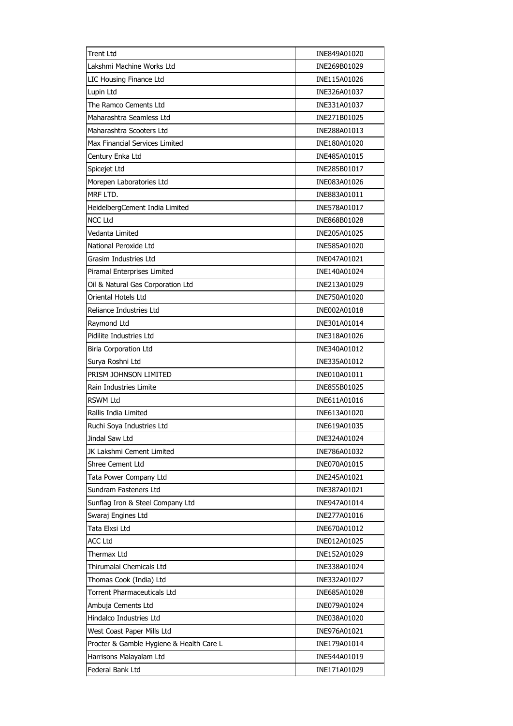| <b>Trent Ltd</b>                         | INE849A01020 |
|------------------------------------------|--------------|
| Lakshmi Machine Works Ltd                | INE269B01029 |
| LIC Housing Finance Ltd                  | INE115A01026 |
| Lupin Ltd                                | INE326A01037 |
| The Ramco Cements Ltd                    | INE331A01037 |
| Maharashtra Seamless Ltd                 | INE271B01025 |
| Maharashtra Scooters Ltd                 | INE288A01013 |
| Max Financial Services Limited           | INE180A01020 |
| Century Enka Ltd                         | INE485A01015 |
| Spicejet Ltd                             | INE285B01017 |
| Morepen Laboratories Ltd                 | INE083A01026 |
| MRF LTD.                                 | INE883A01011 |
| HeidelbergCement India Limited           | INE578A01017 |
| <b>NCC Ltd</b>                           | INE868B01028 |
| Vedanta Limited                          | INE205A01025 |
| National Peroxide Ltd                    | INE585A01020 |
| Grasim Industries Ltd                    | INE047A01021 |
| Piramal Enterprises Limited              | INE140A01024 |
| Oil & Natural Gas Corporation Ltd        | INE213A01029 |
| Oriental Hotels Ltd                      | INE750A01020 |
| Reliance Industries Ltd                  | INE002A01018 |
| Raymond Ltd                              | INE301A01014 |
| Pidilite Industries Ltd                  | INE318A01026 |
| <b>Birla Corporation Ltd</b>             | INE340A01012 |
| Surya Roshni Ltd                         | INE335A01012 |
| PRISM JOHNSON LIMITED                    | INE010A01011 |
| Rain Industries Limite                   | INE855B01025 |
| <b>RSWM Ltd</b>                          | INE611A01016 |
| Rallis India Limited                     | INE613A01020 |
| Ruchi Soya Industries Ltd                | INE619A01035 |
| Jindal Saw Ltd                           | INE324A01024 |
| JK Lakshmi Cement Limited                | INE786A01032 |
| <b>Shree Cement Ltd</b>                  | INE070A01015 |
| Tata Power Company Ltd                   | INE245A01021 |
| Sundram Fasteners Ltd                    | INE387A01021 |
| Sunflag Iron & Steel Company Ltd         | INE947A01014 |
| Swaraj Engines Ltd                       | INE277A01016 |
| Tata Elxsi Ltd                           | INE670A01012 |
| <b>ACC Ltd</b>                           | INE012A01025 |
| Thermax Ltd                              | INE152A01029 |
| Thirumalai Chemicals Ltd                 | INE338A01024 |
| Thomas Cook (India) Ltd                  | INE332A01027 |
| <b>Torrent Pharmaceuticals Ltd</b>       | INE685A01028 |
| Ambuja Cements Ltd                       | INE079A01024 |
| Hindalco Industries Ltd                  | INE038A01020 |
| West Coast Paper Mills Ltd               | INE976A01021 |
| Procter & Gamble Hygiene & Health Care L | INE179A01014 |
| Harrisons Malayalam Ltd                  | INE544A01019 |
| Federal Bank Ltd                         | INE171A01029 |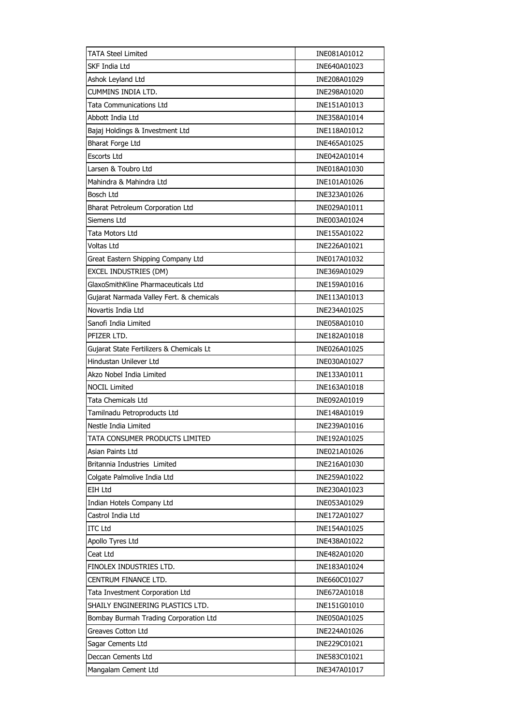| <b>TATA Steel Limited</b>                | INE081A01012 |
|------------------------------------------|--------------|
| SKF India Ltd                            | INE640A01023 |
| Ashok Leyland Ltd                        | INE208A01029 |
| <b>CUMMINS INDIA LTD.</b>                | INE298A01020 |
| Tata Communications Ltd                  | INE151A01013 |
| Abbott India Ltd                         | INE358A01014 |
| Bajaj Holdings & Investment Ltd          | INE118A01012 |
| <b>Bharat Forge Ltd</b>                  | INE465A01025 |
| Escorts Ltd                              | INE042A01014 |
| Larsen & Toubro Ltd                      | INE018A01030 |
| Mahindra & Mahindra Ltd                  | INE101A01026 |
| <b>Bosch Ltd</b>                         | INE323A01026 |
| Bharat Petroleum Corporation Ltd         | INE029A01011 |
| Siemens Ltd                              | INE003A01024 |
| Tata Motors Ltd                          | INE155A01022 |
| <b>Voltas Ltd</b>                        | INE226A01021 |
| Great Eastern Shipping Company Ltd       | INE017A01032 |
| EXCEL INDUSTRIES (DM)                    | INE369A01029 |
| GlaxoSmithKline Pharmaceuticals Ltd      | INE159A01016 |
| Gujarat Narmada Valley Fert. & chemicals | INE113A01013 |
| Novartis India Ltd                       | INE234A01025 |
| Sanofi India Limited                     | INE058A01010 |
| PFIZER LTD.                              | INE182A01018 |
| Gujarat State Fertilizers & Chemicals Lt | INE026A01025 |
| Hindustan Unilever Ltd                   | INE030A01027 |
| Akzo Nobel India Limited                 | INE133A01011 |
| <b>NOCIL Limited</b>                     | INE163A01018 |
| <b>Tata Chemicals Ltd</b>                | INE092A01019 |
| Tamilnadu Petroproducts Ltd              | INE148A01019 |
| Nestle India Limited                     | INE239A01016 |
| TATA CONSUMER PRODUCTS LIMITED           | INE192A01025 |
| Asian Paints Ltd                         | INE021A01026 |
| Britannia Industries Limited             | INE216A01030 |
| Colgate Palmolive India Ltd              | INE259A01022 |
| EIH Ltd                                  | INE230A01023 |
| Indian Hotels Company Ltd                | INE053A01029 |
| Castrol India Ltd                        | INE172A01027 |
| <b>ITC Ltd</b>                           | INE154A01025 |
| Apollo Tyres Ltd                         | INE438A01022 |
| Ceat Ltd                                 | INE482A01020 |
| FINOLEX INDUSTRIES LTD.                  | INE183A01024 |
| CENTRUM FINANCE LTD.                     | INE660C01027 |
| Tata Investment Corporation Ltd          | INE672A01018 |
| SHAILY ENGINEERING PLASTICS LTD.         | INE151G01010 |
| Bombay Burmah Trading Corporation Ltd    | INE050A01025 |
| Greaves Cotton Ltd                       | INE224A01026 |
| Sagar Cements Ltd                        | INE229C01021 |
| Deccan Cements Ltd                       | INE583C01021 |
| Mangalam Cement Ltd                      | INE347A01017 |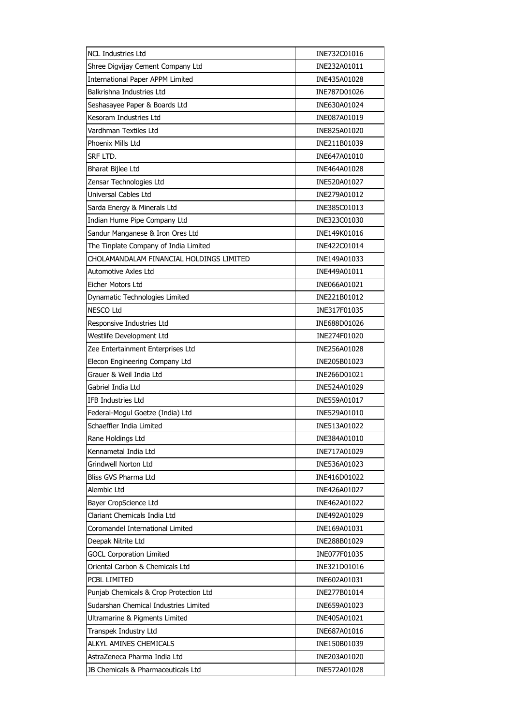| <b>NCL Industries Ltd</b>                | INE732C01016 |
|------------------------------------------|--------------|
| Shree Digvijay Cement Company Ltd        | INE232A01011 |
| International Paper APPM Limited         | INE435A01028 |
| Balkrishna Industries Ltd                | INE787D01026 |
| Seshasayee Paper & Boards Ltd            | INE630A01024 |
| Kesoram Industries Ltd                   | INE087A01019 |
| Vardhman Textiles Ltd                    | INE825A01020 |
| Phoenix Mills Ltd                        | INE211B01039 |
| srf Ltd.                                 | INE647A01010 |
| Bharat Bijlee Ltd                        | INE464A01028 |
| Zensar Technologies Ltd                  | INE520A01027 |
| Universal Cables Ltd                     | INE279A01012 |
| Sarda Energy & Minerals Ltd              | INE385C01013 |
| Indian Hume Pipe Company Ltd             | INE323C01030 |
| Sandur Manganese & Iron Ores Ltd         | INE149K01016 |
| The Tinplate Company of India Limited    | INE422C01014 |
| CHOLAMANDALAM FINANCIAL HOLDINGS LIMITED | INE149A01033 |
| Automotive Axles Ltd                     | INE449A01011 |
| Eicher Motors Ltd                        | INE066A01021 |
| Dynamatic Technologies Limited           | INE221B01012 |
| <b>NESCO Ltd</b>                         | INE317F01035 |
| Responsive Industries Ltd                | INE688D01026 |
| Westlife Development Ltd                 | INE274F01020 |
| Zee Entertainment Enterprises Ltd        | INE256A01028 |
| Elecon Engineering Company Ltd           | INE205B01023 |
| Grauer & Weil India Ltd                  | INE266D01021 |
| Gabriel India Ltd                        | INE524A01029 |
| IFB Industries Ltd                       | INE559A01017 |
| Federal-Mogul Goetze (India) Ltd         | INE529A01010 |
| Schaeffler India Limited                 | INE513A01022 |
| Rane Holdings Ltd                        | INE384A01010 |
| Kennametal India Ltd                     | INE717A01029 |
| Grindwell Norton Ltd                     | INE536A01023 |
| Bliss GVS Pharma Ltd                     | INE416D01022 |
| Alembic Ltd                              | INE426A01027 |
| Bayer CropScience Ltd                    | INE462A01022 |
| Clariant Chemicals India Ltd             | INE492A01029 |
| Coromandel International Limited         | INE169A01031 |
| Deepak Nitrite Ltd                       | INE288B01029 |
| <b>GOCL Corporation Limited</b>          | INE077F01035 |
| Oriental Carbon & Chemicals Ltd          | INE321D01016 |
| PCBL LIMITED                             | INE602A01031 |
| Punjab Chemicals & Crop Protection Ltd   | INE277B01014 |
| Sudarshan Chemical Industries Limited    | INE659A01023 |
| Ultramarine & Pigments Limited           | INE405A01021 |
| Transpek Industry Ltd                    | INE687A01016 |
| ALKYL AMINES CHEMICALS                   | INE150B01039 |
| AstraZeneca Pharma India Ltd             | INE203A01020 |
| JB Chemicals & Pharmaceuticals Ltd       | INE572A01028 |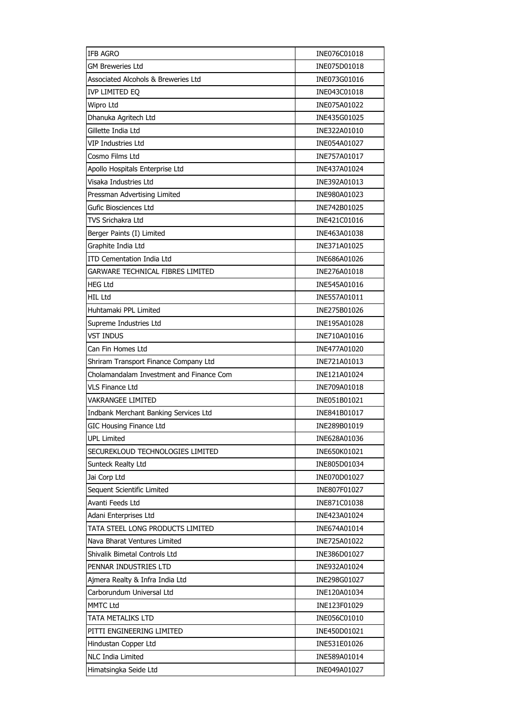| <b>IFB AGRO</b>                          | INE076C01018 |
|------------------------------------------|--------------|
| <b>GM Breweries Ltd</b>                  | INE075D01018 |
| Associated Alcohols & Breweries Ltd      | INE073G01016 |
| IVP LIMITED EQ                           | INE043C01018 |
| Wipro Ltd                                | INE075A01022 |
| Dhanuka Agritech Ltd                     | INE435G01025 |
| Gillette India Ltd                       | INE322A01010 |
| VIP Industries Ltd                       | INE054A01027 |
| Cosmo Films Ltd                          | INE757A01017 |
| Apollo Hospitals Enterprise Ltd          | INE437A01024 |
| Visaka Industries Ltd                    | INE392A01013 |
| Pressman Advertising Limited             | INE980A01023 |
| Gufic Biosciences Ltd                    | INE742B01025 |
| <b>TVS Srichakra Ltd</b>                 | INE421C01016 |
| Berger Paints (I) Limited                | INE463A01038 |
| Graphite India Ltd                       | INE371A01025 |
| <b>ITD Cementation India Ltd</b>         | INE686A01026 |
| GARWARE TECHNICAL FIBRES LIMITED         | INE276A01018 |
| <b>HEG Ltd</b>                           | INE545A01016 |
| <b>HIL Ltd</b>                           | INE557A01011 |
| Huhtamaki PPL Limited                    | INE275B01026 |
| Supreme Industries Ltd                   | INE195A01028 |
| <b>VST INDUS</b>                         | INE710A01016 |
| Can Fin Homes Ltd                        | INE477A01020 |
| Shriram Transport Finance Company Ltd    | INE721A01013 |
| Cholamandalam Investment and Finance Com | INE121A01024 |
| VLS Finance Ltd                          | INE709A01018 |
| <b>VAKRANGEE LIMITED</b>                 | INE051B01021 |
| Indbank Merchant Banking Services Ltd    | INE841B01017 |
| <b>GIC Housing Finance Ltd</b>           | INE289B01019 |
| <b>UPL Limited</b>                       | INE628A01036 |
| SECUREKLOUD TECHNOLOGIES LIMITED         | INE650K01021 |
| Sunteck Realty Ltd                       | INE805D01034 |
| Jai Corp Ltd                             | INE070D01027 |
| Sequent Scientific Limited               | INE807F01027 |
| Avanti Feeds Ltd                         | INE871C01038 |
| Adani Enterprises Ltd                    | INE423A01024 |
| TATA STEEL LONG PRODUCTS LIMITED         | INE674A01014 |
| Nava Bharat Ventures Limited             | INE725A01022 |
| Shivalik Bimetal Controls Ltd            | INE386D01027 |
| PENNAR INDUSTRIES LTD                    | INE932A01024 |
| Ajmera Realty & Infra India Ltd          | INE298G01027 |
| Carborundum Universal Ltd                | INE120A01034 |
| MMTC Ltd                                 | INE123F01029 |
| TATA METALIKS LTD                        | INE056C01010 |
| PITTI ENGINEERING LIMITED                | INE450D01021 |
|                                          |              |
| Hindustan Copper Ltd                     | INE531E01026 |
| NLC India Limited                        | INE589A01014 |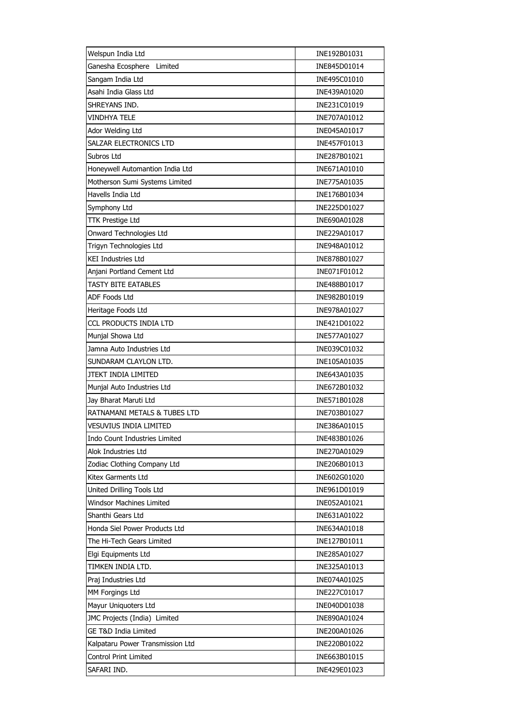| Welspun India Ltd                | INE192B01031 |
|----------------------------------|--------------|
| Ganesha Ecosphere<br>Limited     | INE845D01014 |
| Sangam India Ltd                 | INE495C01010 |
| Asahi India Glass Ltd            | INE439A01020 |
| SHREYANS IND.                    | INE231C01019 |
| VINDHYA TELE                     | INE707A01012 |
| Ador Welding Ltd                 | INE045A01017 |
| SALZAR ELECTRONICS LTD           | INE457F01013 |
| Subros Ltd                       | INE287B01021 |
| Honeywell Automantion India Ltd  | INE671A01010 |
| Motherson Sumi Systems Limited   | INE775A01035 |
| Havells India Ltd                | INE176B01034 |
| Symphony Ltd                     | INE225D01027 |
| <b>TTK Prestige Ltd</b>          | INE690A01028 |
| Onward Technologies Ltd          | INE229A01017 |
| Trigyn Technologies Ltd          | INE948A01012 |
| <b>KEI Industries Ltd</b>        | INE878B01027 |
| Anjani Portland Cement Ltd       | INE071F01012 |
| <b>TASTY BITE EATABLES</b>       | INE488B01017 |
| <b>ADF Foods Ltd</b>             | INE982B01019 |
| Heritage Foods Ltd               | INE978A01027 |
| CCL PRODUCTS INDIA LTD           | INE421D01022 |
| Munjal Showa Ltd                 | INE577A01027 |
| Jamna Auto Industries Ltd        | INE039C01032 |
| SUNDARAM CLAYLON LTD.            | INE105A01035 |
| JTEKT INDIA LIMITED              | INE643A01035 |
| Munjal Auto Industries Ltd       | INE672B01032 |
| Jay Bharat Maruti Ltd            | INE571B01028 |
| RATNAMANI METALS & TUBES LTD     | INE703B01027 |
| <b>VESUVIUS INDIA LIMITED</b>    | INE386A01015 |
| Indo Count Industries Limited    | INE483B01026 |
| Alok Industries Ltd              | INE270A01029 |
| Zodiac Clothing Company Ltd      | INE206B01013 |
| Kitex Garments Ltd               | INE602G01020 |
| United Drilling Tools Ltd        | INE961D01019 |
| Windsor Machines Limited         | INE052A01021 |
| Shanthi Gears Ltd                | INE631A01022 |
| Honda Siel Power Products Ltd    | INE634A01018 |
| The Hi-Tech Gears Limited        | INE127B01011 |
| Elgi Equipments Ltd              | INE285A01027 |
| TIMKEN INDIA LTD.                | INE325A01013 |
| Praj Industries Ltd              | INE074A01025 |
| MM Forgings Ltd                  | INE227C01017 |
| Mayur Uniquoters Ltd             | INE040D01038 |
| JMC Projects (India) Limited     | INE890A01024 |
| <b>GE T&amp;D India Limited</b>  | INE200A01026 |
| Kalpataru Power Transmission Ltd | INE220B01022 |
| <b>Control Print Limited</b>     | INE663B01015 |
| SAFARI IND.                      | INE429E01023 |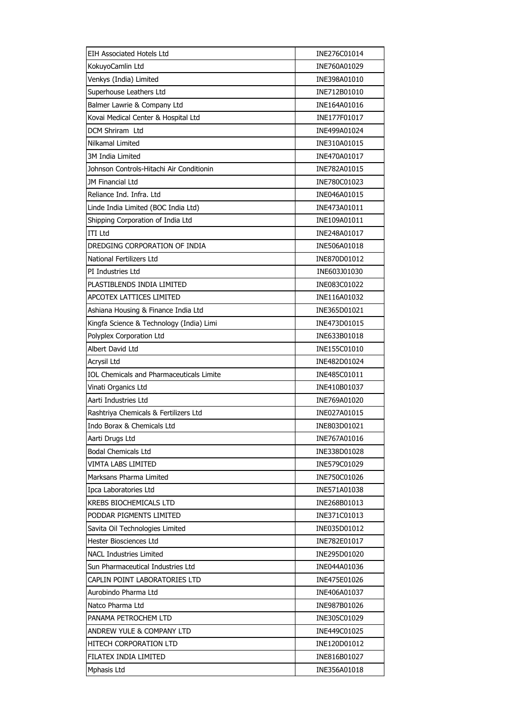| EIH Associated Hotels Ltd                | INE276C01014 |
|------------------------------------------|--------------|
| KokuyoCamlin Ltd                         | INE760A01029 |
| Venkys (India) Limited                   | INE398A01010 |
| Superhouse Leathers Ltd                  | INE712B01010 |
| Balmer Lawrie & Company Ltd              | INE164A01016 |
| Kovai Medical Center & Hospital Ltd      | INE177F01017 |
| DCM Shriram Ltd                          | INE499A01024 |
| Nilkamal Limited                         | INE310A01015 |
| 3M India Limited                         | INE470A01017 |
| Johnson Controls-Hitachi Air Conditionin | INE782A01015 |
| JM Financial Ltd                         | INE780C01023 |
| Reliance Ind. Infra. Ltd                 | INE046A01015 |
| Linde India Limited (BOC India Ltd)      | INE473A01011 |
| Shipping Corporation of India Ltd        | INE109A01011 |
| <b>ITI Ltd</b>                           | INE248A01017 |
| DREDGING CORPORATION OF INDIA            | INE506A01018 |
| National Fertilizers Ltd                 | INE870D01012 |
| PI Industries Ltd                        | INE603J01030 |
| PLASTIBLENDS INDIA LIMITED               | INE083C01022 |
| <b>APCOTEX LATTICES LIMITED</b>          | INE116A01032 |
| Ashiana Housing & Finance India Ltd      | INE365D01021 |
| Kingfa Science & Technology (India) Limi | INE473D01015 |
| Polyplex Corporation Ltd                 | INE633B01018 |
| Albert David Ltd                         | INE155C01010 |
| Acrysil Ltd                              | INE482D01024 |
| IOL Chemicals and Pharmaceuticals Limite | INE485C01011 |
| Vinati Organics Ltd                      | INE410B01037 |
| Aarti Industries Ltd                     | INE769A01020 |
| Rashtriya Chemicals & Fertilizers Ltd    | INE027A01015 |
| Indo Borax & Chemicals Ltd               | INE803D01021 |
| Aarti Drugs Ltd                          | INE767A01016 |
| <b>Bodal Chemicals Ltd</b>               | INE338D01028 |
| VIMTA LABS LIMITED                       | INE579C01029 |
| Marksans Pharma Limited                  | INE750C01026 |
| Ipca Laboratories Ltd                    | INE571A01038 |
| <b>KREBS BIOCHEMICALS LTD</b>            | INE268B01013 |
| PODDAR PIGMENTS LIMITED                  | INE371C01013 |
| Savita Oil Technologies Limited          | INE035D01012 |
| <b>Hester Biosciences Ltd</b>            | INE782E01017 |
| <b>NACL Industries Limited</b>           | INE295D01020 |
| Sun Pharmaceutical Industries Ltd        | INE044A01036 |
| CAPLIN POINT LABORATORIES LTD            | INE475E01026 |
| Aurobindo Pharma Ltd                     | INE406A01037 |
| Natco Pharma Ltd                         | INE987B01026 |
| PANAMA PETROCHEM LTD                     | INE305C01029 |
| ANDREW YULE & COMPANY LTD                | INE449C01025 |
| HITECH CORPORATION LTD                   | INE120D01012 |
| FILATEX INDIA LIMITED                    |              |
|                                          | INE816B01027 |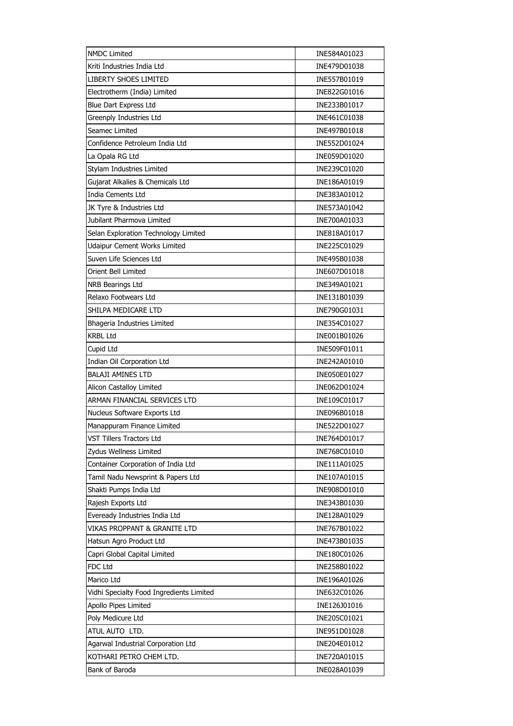| <b>NMDC Limited</b>                      | INE584A01023 |
|------------------------------------------|--------------|
| Kriti Industries India Ltd               | INE479D01038 |
| <b>LIBERTY SHOES LIMITED</b>             | INE557B01019 |
| Electrotherm (India) Limited             | INE822G01016 |
| Blue Dart Express Ltd                    | INE233B01017 |
| Greenply Industries Ltd                  | INE461C01038 |
| Seamec Limited                           | INE497B01018 |
| Confidence Petroleum India Ltd           | INE552D01024 |
| La Opala RG Ltd                          | INE059D01020 |
| Stylam Industries Limited                | INE239C01020 |
| Gujarat Alkalies & Chemicals Ltd         | INE186A01019 |
| <b>India Cements Ltd</b>                 | INE383A01012 |
| JK Tyre & Industries Ltd                 | INE573A01042 |
| Jubilant Pharmova Limited                | INE700A01033 |
| Selan Exploration Technology Limited     | INE818A01017 |
| Udaipur Cement Works Limited             | INE225C01029 |
| Suven Life Sciences Ltd                  | INE495B01038 |
| Orient Bell Limited                      | INE607D01018 |
| NRB Bearings Ltd                         | INE349A01021 |
| Relaxo Footwears Ltd                     | INE131B01039 |
| SHILPA MEDICARE LTD                      | INE790G01031 |
| Bhageria Industries Limited              | INE354C01027 |
| <b>KRBL Ltd</b>                          | INE001B01026 |
| Cupid Ltd                                | INE509F01011 |
| Indian Oil Corporation Ltd               | INE242A01010 |
| <b>BALAJI AMINES LTD</b>                 | INE050E01027 |
| Alicon Castalloy Limited                 | INE062D01024 |
| ARMAN FINANCIAL SERVICES LTD             | INE109C01017 |
| Nucleus Software Exports Ltd             | INE096B01018 |
| Manappuram Finance Limited               | INE522D01027 |
| VST Tillers Tractors Ltd                 | INE764D01017 |
| Zydus Wellness Limited                   | INE768C01010 |
| Container Corporation of India Ltd       | INE111A01025 |
| Tamil Nadu Newsprint & Papers Ltd        | INE107A01015 |
| Shakti Pumps India Ltd                   | INE908D01010 |
| Rajesh Exports Ltd                       | INE343B01030 |
| Eveready Industries India Ltd            | INE128A01029 |
| VIKAS PROPPANT & GRANITE LTD             | INE767B01022 |
| Hatsun Agro Product Ltd                  | INE473B01035 |
| Capri Global Capital Limited             | INE180C01026 |
| FDC Ltd                                  | INE258B01022 |
| Marico Ltd                               | INE196A01026 |
| Vidhi Specialty Food Ingredients Limited | INE632C01026 |
| Apollo Pipes Limited                     | INE126J01016 |
| Poly Medicure Ltd                        | INE205C01021 |
| ATUL AUTO LTD.                           | INE951D01028 |
| Agarwal Industrial Corporation Ltd       | INE204E01012 |
| KOTHARI PETRO CHEM LTD.                  | INE720A01015 |
| Bank of Baroda                           | INE028A01039 |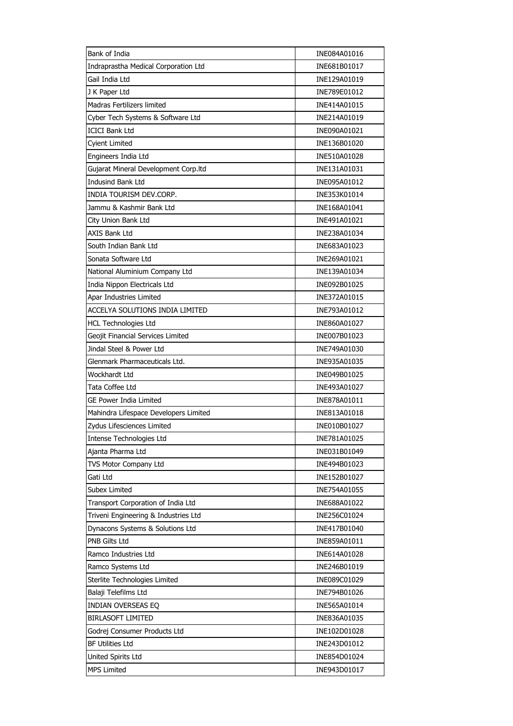| Bank of India                         | INE084A01016 |
|---------------------------------------|--------------|
| Indraprastha Medical Corporation Ltd  | INE681B01017 |
| Gail India Ltd                        | INE129A01019 |
| J K Paper Ltd                         | INE789E01012 |
| <b>Madras Fertilizers limited</b>     | INE414A01015 |
| Cyber Tech Systems & Software Ltd     | INE214A01019 |
| <b>ICICI Bank Ltd</b>                 | INE090A01021 |
| <b>Cyient Limited</b>                 | INE136B01020 |
| Engineers India Ltd                   | INE510A01028 |
| Gujarat Mineral Development Corp.Itd  | INE131A01031 |
| <b>Indusind Bank Ltd</b>              | INE095A01012 |
| INDIA TOURISM DEV.CORP.               | INE353K01014 |
| Jammu & Kashmir Bank Ltd              | INE168A01041 |
| City Union Bank Ltd                   | INE491A01021 |
| <b>AXIS Bank Ltd</b>                  | INE238A01034 |
| South Indian Bank Ltd                 | INE683A01023 |
| Sonata Software Ltd                   | INE269A01021 |
| National Aluminium Company Ltd        | INE139A01034 |
| India Nippon Electricals Ltd          | INE092B01025 |
| Apar Industries Limited               | INE372A01015 |
| ACCELYA SOLUTIONS INDIA LIMITED       | INE793A01012 |
| <b>HCL Technologies Ltd</b>           | INE860A01027 |
| Geojit Financial Services Limited     | INE007B01023 |
| Jindal Steel & Power Ltd              | INE749A01030 |
| Glenmark Pharmaceuticals Ltd.         | INE935A01035 |
| Wockhardt Ltd                         | INE049B01025 |
| Tata Coffee Ltd                       | INE493A01027 |
| GE Power India Limited                | INE878A01011 |
| Mahindra Lifespace Developers Limited | INE813A01018 |
| Zydus Lifesciences Limited            | INE010B01027 |
| Intense Technologies Ltd              | INE781A01025 |
| Ajanta Pharma Ltd                     | INE031B01049 |
| TVS Motor Company Ltd                 | INE494B01023 |
| Gati Ltd                              | INE152B01027 |
| <b>Subex Limited</b>                  | INE754A01055 |
| Transport Corporation of India Ltd    | INE688A01022 |
| Triveni Engineering & Industries Ltd  | INE256C01024 |
| Dynacons Systems & Solutions Ltd      | INE417B01040 |
| PNB Gilts Ltd                         | INE859A01011 |
| Ramco Industries Ltd                  | INE614A01028 |
| Ramco Systems Ltd                     | INE246B01019 |
| Sterlite Technologies Limited         | INE089C01029 |
| Balaji Telefilms Ltd                  | INE794B01026 |
| INDIAN OVERSEAS EQ                    | INE565A01014 |
| <b>BIRLASOFT LIMITED</b>              | INE836A01035 |
| Godrej Consumer Products Ltd          | INE102D01028 |
| <b>BF Utilities Ltd</b>               | INE243D01012 |
| United Spirits Ltd                    | INE854D01024 |
| <b>MPS Limited</b>                    | INE943D01017 |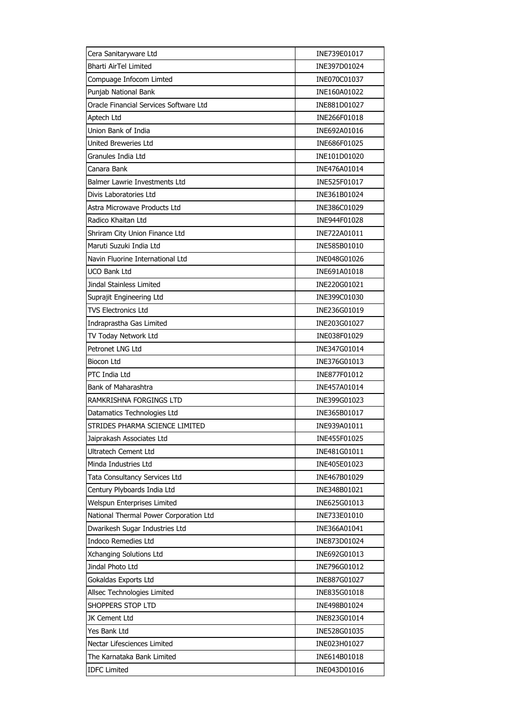| Cera Sanitaryware Ltd                  | INE739E01017 |
|----------------------------------------|--------------|
| <b>Bharti AirTel Limited</b>           | INE397D01024 |
| Compuage Infocom Limted                | INE070C01037 |
| Punjab National Bank                   | INE160A01022 |
| Oracle Financial Services Software Ltd | INE881D01027 |
| Aptech Ltd                             | INE266F01018 |
| Union Bank of India                    | INE692A01016 |
| <b>United Breweries Ltd</b>            | INE686F01025 |
| Granules India Ltd                     | INE101D01020 |
| Canara Bank                            | INE476A01014 |
| Balmer Lawrie Investments Ltd          | INE525F01017 |
| Divis Laboratories Ltd                 | INE361B01024 |
| Astra Microwave Products Ltd           | INE386C01029 |
| Radico Khaitan Ltd                     | INE944F01028 |
| Shriram City Union Finance Ltd         | INE722A01011 |
| Maruti Suzuki India Ltd                | INE585B01010 |
| Navin Fluorine International Ltd       | INE048G01026 |
| UCO Bank Ltd                           | INE691A01018 |
| Jindal Stainless Limited               | INE220G01021 |
| Suprajit Engineering Ltd               | INE399C01030 |
| <b>TVS Electronics Ltd</b>             | INE236G01019 |
| Indraprastha Gas Limited               | INE203G01027 |
| TV Today Network Ltd                   | INE038F01029 |
| Petronet LNG Ltd                       | INE347G01014 |
| Biocon Ltd                             | INE376G01013 |
| PTC India Ltd                          | INE877F01012 |
| Bank of Maharashtra                    | INE457A01014 |
| RAMKRISHNA FORGINGS LTD                | INE399G01023 |
| Datamatics Technologies Ltd            | INE365B01017 |
| STRIDES PHARMA SCIENCE LIMITED         | INE939A01011 |
| Jaiprakash Associates Ltd              | INE455F01025 |
| Ultratech Cement Ltd                   | INE481G01011 |
| Minda Industries Ltd                   | INE405E01023 |
| Tata Consultancy Services Ltd          | INE467B01029 |
| Century Plyboards India Ltd            | INE348B01021 |
| Welspun Enterprises Limited            | INE625G01013 |
| National Thermal Power Corporation Ltd | INE733E01010 |
| Dwarikesh Sugar Industries Ltd         | INE366A01041 |
| <b>Indoco Remedies Ltd</b>             | INE873D01024 |
| Xchanging Solutions Ltd                | INE692G01013 |
| Jindal Photo Ltd                       | INE796G01012 |
| Gokaldas Exports Ltd                   | INE887G01027 |
| Allsec Technologies Limited            | INE835G01018 |
| SHOPPERS STOP LTD                      | INE498B01024 |
| JK Cement Ltd                          | INE823G01014 |
| Yes Bank Ltd                           | INE528G01035 |
| Nectar Lifesciences Limited            | INE023H01027 |
| The Karnataka Bank Limited             | INE614B01018 |
| <b>IDFC Limited</b>                    | INE043D01016 |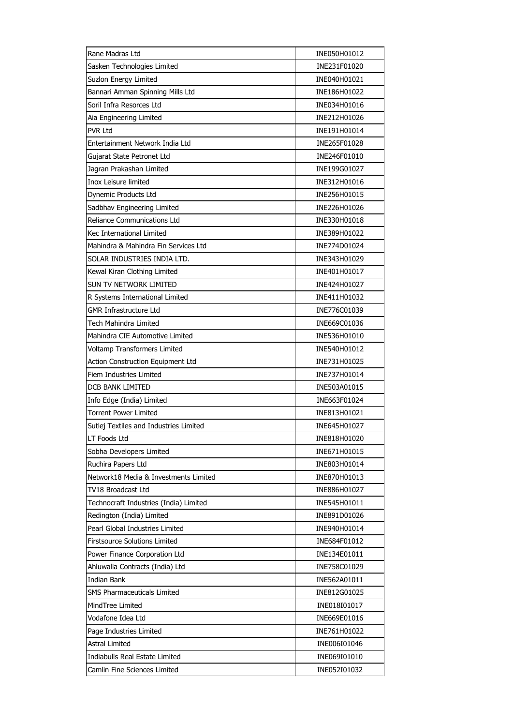| Rane Madras Ltd                        | INE050H01012 |
|----------------------------------------|--------------|
| Sasken Technologies Limited            | INE231F01020 |
| Suzlon Energy Limited                  | INE040H01021 |
| Bannari Amman Spinning Mills Ltd       | INE186H01022 |
| Soril Infra Resorces Ltd               | INE034H01016 |
| Aia Engineering Limited                | INE212H01026 |
| PVR Ltd                                | INE191H01014 |
| Entertainment Network India Ltd        | INE265F01028 |
| Gujarat State Petronet Ltd             | INE246F01010 |
| Jagran Prakashan Limited               | INE199G01027 |
| Inox Leisure limited                   | INE312H01016 |
| Dynemic Products Ltd                   | INE256H01015 |
| Sadbhav Engineering Limited            | INE226H01026 |
| Reliance Communications Ltd            | INE330H01018 |
| Kec International Limited              | INE389H01022 |
| Mahindra & Mahindra Fin Services Ltd   | INE774D01024 |
| SOLAR INDUSTRIES INDIA LTD.            | INE343H01029 |
| Kewal Kiran Clothing Limited           | INE401H01017 |
| SUN TV NETWORK LIMITED                 | INE424H01027 |
| R Systems International Limited        | INE411H01032 |
| <b>GMR Infrastructure Ltd</b>          | INE776C01039 |
| Tech Mahindra Limited                  | INE669C01036 |
| Mahindra CIE Automotive Limited        | INE536H01010 |
| Voltamp Transformers Limited           | INE540H01012 |
| Action Construction Equipment Ltd      | INE731H01025 |
| <b>Fiem Industries Limited</b>         | INE737H01014 |
| DCB BANK LIMITED                       | INE503A01015 |
| Info Edge (India) Limited              | INE663F01024 |
| <b>Torrent Power Limited</b>           | INE813H01021 |
| Sutlej Textiles and Industries Limited | INE645H01027 |
| LT Foods Ltd                           | INE818H01020 |
| Sobha Developers Limited               | INE671H01015 |
| Ruchira Papers Ltd                     | INE803H01014 |
| Network18 Media & Investments Limited  | INE870H01013 |
| TV18 Broadcast Ltd                     | INE886H01027 |
| Technocraft Industries (India) Limited | INE545H01011 |
| Redington (India) Limited              | INE891D01026 |
| Pearl Global Industries Limited        | INE940H01014 |
| <b>Firstsource Solutions Limited</b>   | INE684F01012 |
| Power Finance Corporation Ltd          | INE134E01011 |
| Ahluwalia Contracts (India) Ltd        | INE758C01029 |
| Indian Bank                            | INE562A01011 |
| SMS Pharmaceuticals Limited            | INE812G01025 |
| MindTree Limited                       | INE018I01017 |
| Vodafone Idea Ltd                      | INE669E01016 |
| Page Industries Limited                | INE761H01022 |
| <b>Astral Limited</b>                  | INE006I01046 |
| Indiabulls Real Estate Limited         | INE069I01010 |
| Camlin Fine Sciences Limited           | INE052I01032 |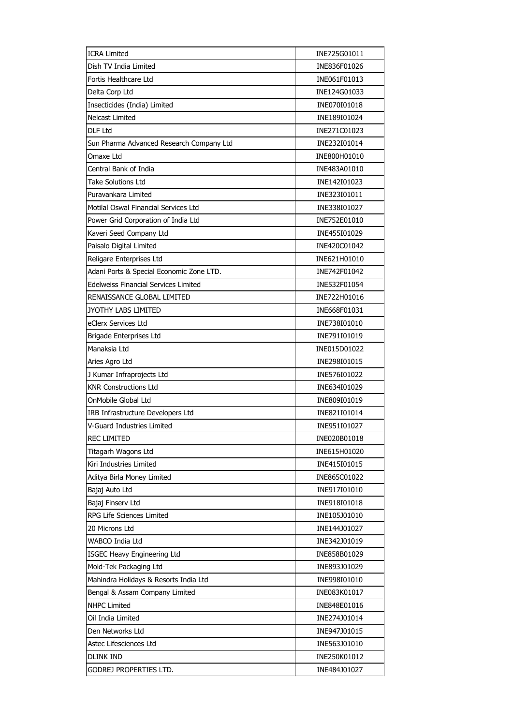| <b>ICRA Limited</b>                         | INE725G01011 |
|---------------------------------------------|--------------|
| Dish TV India Limited                       | INE836F01026 |
| Fortis Healthcare Ltd                       | INE061F01013 |
| Delta Corp Ltd                              | INE124G01033 |
| Insecticides (India) Limited                | INE070I01018 |
| <b>Nelcast Limited</b>                      | INE189I01024 |
| DLF Ltd                                     | INE271C01023 |
| Sun Pharma Advanced Research Company Ltd    | INE232I01014 |
| Omaxe Ltd                                   | INE800H01010 |
| Central Bank of India                       | INE483A01010 |
| Take Solutions Ltd                          | INE142I01023 |
| Puravankara Limited                         | INE323I01011 |
| Motilal Oswal Financial Services Ltd        | INE338I01027 |
| Power Grid Corporation of India Ltd         | INE752E01010 |
| Kaveri Seed Company Ltd                     | INE455I01029 |
| Paisalo Digital Limited                     | INE420C01042 |
| Religare Enterprises Ltd                    | INE621H01010 |
| Adani Ports & Special Economic Zone LTD.    | INE742F01042 |
| <b>Edelweiss Financial Services Limited</b> | INE532F01054 |
| RENAISSANCE GLOBAL LIMITED                  | INE722H01016 |
| JYOTHY LABS LIMITED                         | INE668F01031 |
| eClerx Services Ltd                         | INE738I01010 |
| Brigade Enterprises Ltd                     | INE791I01019 |
| Manaksia Ltd                                | INE015D01022 |
| Aries Agro Ltd                              | INE298I01015 |
| J Kumar Infraprojects Ltd                   | INE576I01022 |
| <b>KNR Constructions Ltd</b>                | INE634I01029 |
| OnMobile Global Ltd                         | INE809I01019 |
| IRB Infrastructure Developers Ltd           | INE821I01014 |
| V-Guard Industries Limited                  | INE951I01027 |
| REC LIMITED                                 | INE020B01018 |
| Titagarh Wagons Ltd                         | INE615H01020 |
| Kiri Industries Limited                     | INE415I01015 |
| Aditya Birla Money Limited                  | INE865C01022 |
| Bajaj Auto Ltd                              | INE917I01010 |
| Bajaj Finserv Ltd                           | INE918I01018 |
| RPG Life Sciences Limited                   | INE105J01010 |
| 20 Microns Ltd                              | INE144J01027 |
| WABCO India Ltd                             | INE342J01019 |
| ISGEC Heavy Engineering Ltd                 | INE858B01029 |
| Mold-Tek Packaging Ltd                      | INE893J01029 |
| Mahindra Holidays & Resorts India Ltd       | INE998I01010 |
| Bengal & Assam Company Limited              | INE083K01017 |
| <b>NHPC Limited</b>                         | INE848E01016 |
| Oil India Limited                           | INE274J01014 |
| Den Networks Ltd                            | INE947J01015 |
| Astec Lifesciences Ltd                      | INE563J01010 |
| <b>DLINK IND</b>                            | INE250K01012 |
| GODREJ PROPERTIES LTD.                      | INE484J01027 |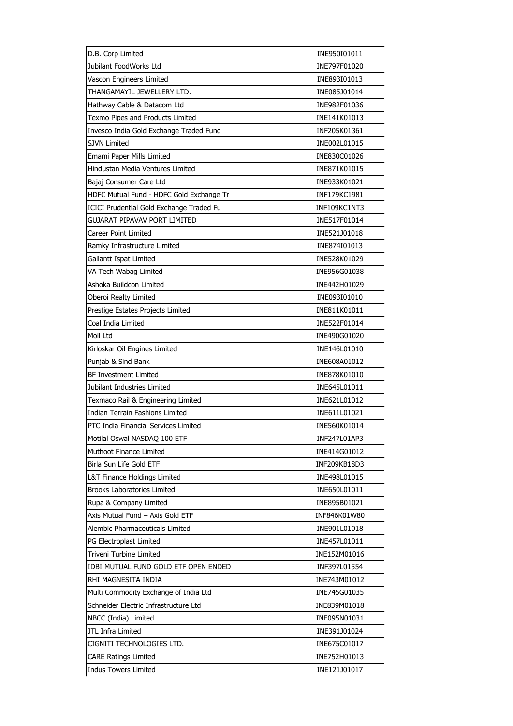| D.B. Corp Limited                        | INE950I01011 |
|------------------------------------------|--------------|
| Jubilant FoodWorks Ltd                   | INE797F01020 |
| Vascon Engineers Limited                 | INE893I01013 |
| THANGAMAYIL JEWELLERY LTD.               | INE085J01014 |
| Hathway Cable & Datacom Ltd              | INE982F01036 |
| Texmo Pipes and Products Limited         | INE141K01013 |
| Invesco India Gold Exchange Traded Fund  | INF205K01361 |
| <b>SJVN Limited</b>                      | INE002L01015 |
| Emami Paper Mills Limited                | INE830C01026 |
| Hindustan Media Ventures Limited         | INE871K01015 |
| Bajaj Consumer Care Ltd                  | INE933K01021 |
| HDFC Mutual Fund - HDFC Gold Exchange Tr | INF179KC1981 |
| ICICI Prudential Gold Exchange Traded Fu | INF109KC1NT3 |
| <b>GUJARAT PIPAVAV PORT LIMITED</b>      | INE517F01014 |
| Career Point Limited                     | INE521J01018 |
| Ramky Infrastructure Limited             | INE874I01013 |
| Gallantt Ispat Limited                   | INE528K01029 |
| VA Tech Wabag Limited                    | INE956G01038 |
| Ashoka Buildcon Limited                  | INE442H01029 |
| Oberoi Realty Limited                    | INE093I01010 |
| Prestige Estates Projects Limited        | INE811K01011 |
| Coal India Limited                       | INE522F01014 |
| Moil Ltd                                 | INE490G01020 |
| Kirloskar Oil Engines Limited            | INE146L01010 |
| Punjab & Sind Bank                       | INE608A01012 |
| <b>BF Investment Limited</b>             | INE878K01010 |
| Jubilant Industries Limited              | INE645L01011 |
| Texmaco Rail & Engineering Limited       | INE621L01012 |
| Indian Terrain Fashions Limited          | INE611L01021 |
| PTC India Financial Services Limited     | INE560K01014 |
| Motilal Oswal NASDAQ 100 ETF             | INF247L01AP3 |
| Muthoot Finance Limited                  | INE414G01012 |
| Birla Sun Life Gold ETF                  | INF209KB18D3 |
| L&T Finance Holdings Limited             | INE498L01015 |
| Brooks Laboratories Limited              | INE650L01011 |
| Rupa & Company Limited                   | INE895B01021 |
| Axis Mutual Fund - Axis Gold ETF         | INF846K01W80 |
| Alembic Pharmaceuticals Limited          | INE901L01018 |
| PG Electroplast Limited                  | INE457L01011 |
| Triveni Turbine Limited                  | INE152M01016 |
| IDBI MUTUAL FUND GOLD ETF OPEN ENDED     | INF397L01554 |
| RHI MAGNESITA INDIA                      | INE743M01012 |
| Multi Commodity Exchange of India Ltd    | INE745G01035 |
| Schneider Electric Infrastructure Ltd    | INE839M01018 |
| NBCC (India) Limited                     | INE095N01031 |
| JTL Infra Limited                        | INE391J01024 |
| CIGNITI TECHNOLOGIES LTD.                | INE675C01017 |
| <b>CARE Ratings Limited</b>              | INE752H01013 |
| <b>Indus Towers Limited</b>              | INE121J01017 |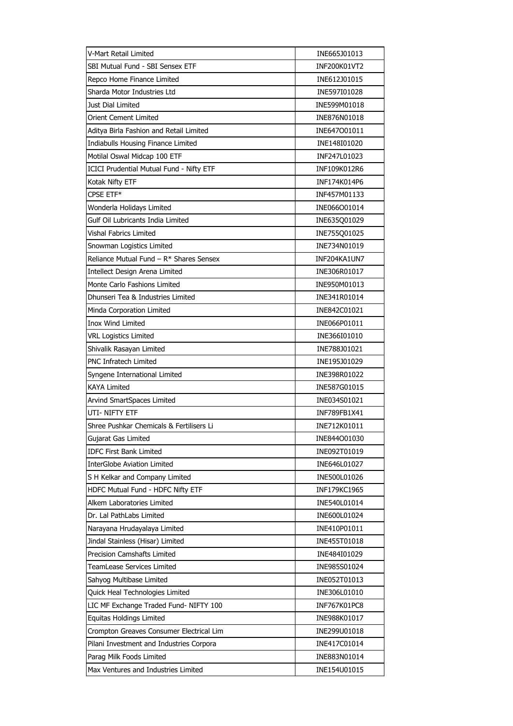| V-Mart Retail Limited                           | INE665J01013        |
|-------------------------------------------------|---------------------|
| SBI Mutual Fund - SBI Sensex ETF                | INF200K01VT2        |
| Repco Home Finance Limited                      | INE612J01015        |
| Sharda Motor Industries Ltd                     | INE597I01028        |
| Just Dial Limited                               | INE599M01018        |
| <b>Orient Cement Limited</b>                    | INE876N01018        |
| Aditya Birla Fashion and Retail Limited         | INE647001011        |
| Indiabulls Housing Finance Limited              | INE148I01020        |
| Motilal Oswal Midcap 100 ETF                    | INF247L01023        |
| <b>ICICI Prudential Mutual Fund - Nifty ETF</b> | INF109K012R6        |
| Kotak Nifty ETF                                 | INF174K014P6        |
| CPSE ETF*                                       | INF457M01133        |
| Wonderla Holidays Limited                       | INE066O01014        |
| Gulf Oil Lubricants India Limited               | INE635Q01029        |
| Vishal Fabrics Limited                          | INE755Q01025        |
| Snowman Logistics Limited                       | INE734N01019        |
| Reliance Mutual Fund - R* Shares Sensex         | INF204KA1UN7        |
| Intellect Design Arena Limited                  | INE306R01017        |
| Monte Carlo Fashions Limited                    | INE950M01013        |
| Dhunseri Tea & Industries Limited               | INE341R01014        |
| Minda Corporation Limited                       | INE842C01021        |
| <b>Inox Wind Limited</b>                        | INE066P01011        |
| <b>VRL Logistics Limited</b>                    | INE366I01010        |
| Shivalik Rasayan Limited                        | INE788J01021        |
| PNC Infratech Limited                           | INE195J01029        |
| Syngene International Limited                   | INE398R01022        |
| KAYA Limited                                    | INE587G01015        |
| Arvind SmartSpaces Limited                      | INE034S01021        |
| UTI- NIFTY ETF                                  | INF789FB1X41        |
| Shree Pushkar Chemicals & Fertilisers Li        | INE712K01011        |
| Gujarat Gas Limited                             | INE844001030        |
| IDFC First Bank Limited                         | INE092T01019        |
| <b>InterGlobe Aviation Limited</b>              | INE646L01027        |
| S H Kelkar and Company Limited                  | INE500L01026        |
| HDFC Mutual Fund - HDFC Nifty ETF               | INF179KC1965        |
| Alkem Laboratories Limited                      | INE540L01014        |
| Dr. Lal PathLabs Limited                        | INE600L01024        |
| Narayana Hrudayalaya Limited                    | INE410P01011        |
| Jindal Stainless (Hisar) Limited                | INE455T01018        |
| <b>Precision Camshafts Limited</b>              | INE484I01029        |
| TeamLease Services Limited                      | INE985S01024        |
| Sahyog Multibase Limited                        | INE052T01013        |
| Quick Heal Technologies Limited                 | INE306L01010        |
| LIC MF Exchange Traded Fund- NIFTY 100          | <b>INF767K01PC8</b> |
| Equitas Holdings Limited                        | INE988K01017        |
| Crompton Greaves Consumer Electrical Lim        | INE299U01018        |
| Pilani Investment and Industries Corpora        | INE417C01014        |
| Parag Milk Foods Limited                        | INE883N01014        |
| Max Ventures and Industries Limited             | INE154U01015        |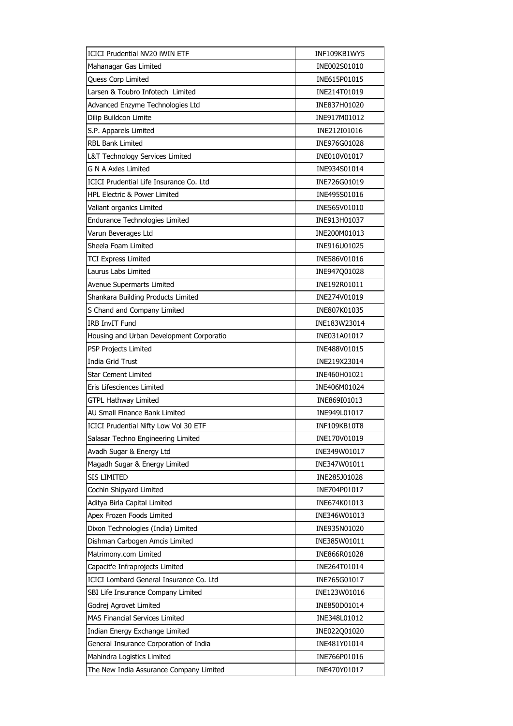| <b>ICICI Prudential NV20 iWIN ETF</b>    | INF109KB1WY5        |
|------------------------------------------|---------------------|
| Mahanagar Gas Limited                    | INE002S01010        |
| Quess Corp Limited                       | INE615P01015        |
| Larsen & Toubro Infotech Limited         | INE214T01019        |
| Advanced Enzyme Technologies Ltd         | INE837H01020        |
| Dilip Buildcon Limite                    | INE917M01012        |
| S.P. Apparels Limited                    | INE212I01016        |
| <b>RBL Bank Limited</b>                  | INE976G01028        |
| L&T Technology Services Limited          | INE010V01017        |
| <b>G N A Axles Limited</b>               | INE934S01014        |
| ICICI Prudential Life Insurance Co. Ltd  | INE726G01019        |
| HPL Electric & Power Limited             | INE495S01016        |
| Valiant organics Limited                 | INE565V01010        |
| Endurance Technologies Limited           | INE913H01037        |
| Varun Beverages Ltd                      | INE200M01013        |
| Sheela Foam Limited                      | INE916U01025        |
| <b>TCI Express Limited</b>               | INE586V01016        |
| Laurus Labs Limited                      | INE947Q01028        |
| Avenue Supermarts Limited                | INE192R01011        |
| Shankara Building Products Limited       | INE274V01019        |
| S Chand and Company Limited              | INE807K01035        |
| <b>IRB InvIT Fund</b>                    | INE183W23014        |
| Housing and Urban Development Corporatio | INE031A01017        |
| PSP Projects Limited                     | INE488V01015        |
| India Grid Trust                         | INE219X23014        |
| <b>Star Cement Limited</b>               | INE460H01021        |
| Eris Lifesciences Limited                | INE406M01024        |
| GTPL Hathway Limited                     | INE869I01013        |
| AU Small Finance Bank Limited            | INE949L01017        |
| ICICI Prudential Nifty Low Vol 30 ETF    | <b>INF109KB10T8</b> |
| Salasar Techno Engineering Limited       | INE170V01019        |
| Avadh Sugar & Energy Ltd                 | INE349W01017        |
| Magadh Sugar & Energy Limited            | INE347W01011        |
| SIS LIMITED                              | INE285J01028        |
| Cochin Shipyard Limited                  | INE704P01017        |
| Aditya Birla Capital Limited             | INE674K01013        |
| Apex Frozen Foods Limited                | INE346W01013        |
| Dixon Technologies (India) Limited       | INE935N01020        |
| Dishman Carbogen Amcis Limited           | INE385W01011        |
| Matrimony.com Limited                    | INE866R01028        |
| Capacit'e Infraprojects Limited          | INE264T01014        |
| ICICI Lombard General Insurance Co. Ltd  | INE765G01017        |
| SBI Life Insurance Company Limited       | INE123W01016        |
| Godrej Agrovet Limited                   | INE850D01014        |
| <b>MAS Financial Services Limited</b>    | INE348L01012        |
| Indian Energy Exchange Limited           | INE022Q01020        |
| General Insurance Corporation of India   | INE481Y01014        |
| Mahindra Logistics Limited               | INE766P01016        |
| The New India Assurance Company Limited  | INE470Y01017        |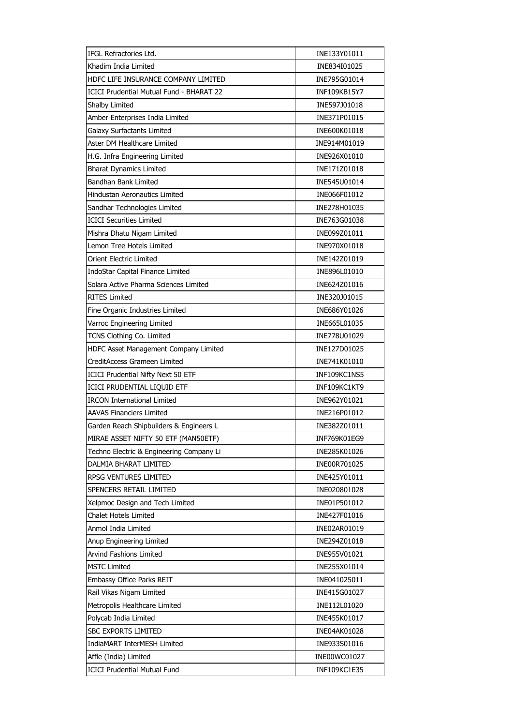| IFGL Refractories Ltd.                          | INE133Y01011 |
|-------------------------------------------------|--------------|
| Khadim India Limited                            | INE834I01025 |
| HDFC LIFE INSURANCE COMPANY LIMITED             | INE795G01014 |
| <b>ICICI Prudential Mutual Fund - BHARAT 22</b> | INF109KB15Y7 |
| Shalby Limited                                  | INE597J01018 |
| Amber Enterprises India Limited                 | INE371P01015 |
| Galaxy Surfactants Limited                      | INE600K01018 |
| Aster DM Healthcare Limited                     | INE914M01019 |
| H.G. Infra Engineering Limited                  | INE926X01010 |
| <b>Bharat Dynamics Limited</b>                  | INE171Z01018 |
| Bandhan Bank Limited                            | INE545U01014 |
| Hindustan Aeronautics Limited                   | INE066F01012 |
| Sandhar Technologies Limited                    | INE278H01035 |
| <b>ICICI Securities Limited</b>                 | INE763G01038 |
| Mishra Dhatu Nigam Limited                      | INE099Z01011 |
| Lemon Tree Hotels Limited                       | INE970X01018 |
| Orient Electric Limited                         | INE142Z01019 |
| IndoStar Capital Finance Limited                | INE896L01010 |
| Solara Active Pharma Sciences Limited           | INE624Z01016 |
| <b>RITES Limited</b>                            | INE320J01015 |
| Fine Organic Industries Limited                 | INE686Y01026 |
| Varroc Engineering Limited                      | INE665L01035 |
| TCNS Clothing Co. Limited                       | INE778U01029 |
| HDFC Asset Management Company Limited           | INE127D01025 |
| CreditAccess Grameen Limited                    | INE741K01010 |
| ICICI Prudential Nifty Next 50 ETF              | INF109KC1NS5 |
| ICICI PRUDENTIAL LIQUID ETF                     | INF109KC1KT9 |
| <b>IRCON International Limited</b>              | INE962Y01021 |
| <b>AAVAS Financiers Limited</b>                 | INE216P01012 |
| Garden Reach Shipbuilders & Engineers L         | INE382Z01011 |
| MIRAE ASSET NIFTY 50 ETF (MAN50ETF)             | INF769K01EG9 |
| Techno Electric & Engineering Company Li        | INE285K01026 |
| DALMIA BHARAT LIMITED                           | INE00R701025 |
| RPSG VENTURES LIMITED                           | INE425Y01011 |
| SPENCERS RETAIL LIMITED                         | INE020801028 |
| Xelpmoc Design and Tech Limited                 | INE01P501012 |
| Chalet Hotels Limited                           | INE427F01016 |
| Anmol India Limited                             | INE02AR01019 |
| Anup Engineering Limited                        | INE294Z01018 |
| Arvind Fashions Limited                         | INE955V01021 |
| <b>MSTC Limited</b>                             | INE255X01014 |
| Embassy Office Parks REIT                       | INE041025011 |
| Rail Vikas Nigam Limited                        | INE415G01027 |
| Metropolis Healthcare Limited                   | INE112L01020 |
| Polycab India Limited                           | INE455K01017 |
| <b>SBC EXPORTS LIMITED</b>                      | INE04AK01028 |
| IndiaMART InterMESH Limited                     | INE933S01016 |
| Affle (India) Limited                           | INE00WC01027 |
| <b>ICICI Prudential Mutual Fund</b>             | INF109KC1E35 |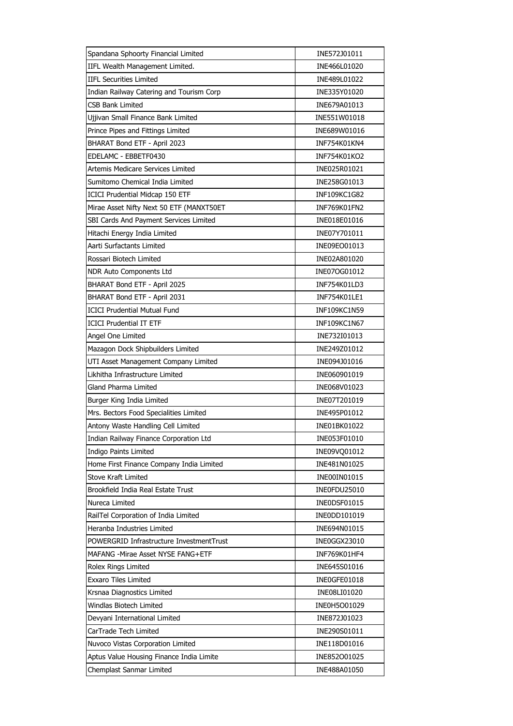| Spandana Sphoorty Financial Limited      | INE572J01011 |
|------------------------------------------|--------------|
| IIFL Wealth Management Limited.          | INE466L01020 |
| <b>IIFL Securities Limited</b>           | INE489L01022 |
| Indian Railway Catering and Tourism Corp | INE335Y01020 |
| <b>CSB Bank Limited</b>                  | INE679A01013 |
| Ujjivan Small Finance Bank Limited       | INE551W01018 |
| Prince Pipes and Fittings Limited        | INE689W01016 |
| BHARAT Bond ETF - April 2023             | INF754K01KN4 |
| EDELAMC - EBBETF0430                     | INF754K01KO2 |
| Artemis Medicare Services Limited        | INE025R01021 |
| Sumitomo Chemical India Limited          | INE258G01013 |
| ICICI Prudential Midcap 150 ETF          | INF109KC1G82 |
| Mirae Asset Nifty Next 50 ETF (MANXT50ET | INF769K01FN2 |
| SBI Cards And Payment Services Limited   | INE018E01016 |
| Hitachi Energy India Limited             | INE07Y701011 |
| Aarti Surfactants Limited                | INE09EO01013 |
| Rossari Biotech Limited                  | INE02A801020 |
| NDR Auto Components Ltd                  | INE07OG01012 |
| BHARAT Bond ETF - April 2025             | INF754K01LD3 |
| BHARAT Bond ETF - April 2031             | INF754K01LE1 |
| <b>ICICI Prudential Mutual Fund</b>      | INF109KC1N59 |
| <b>ICICI Prudential IT ETF</b>           | INF109KC1N67 |
| Angel One Limited                        | INE732I01013 |
| Mazagon Dock Shipbuilders Limited        | INE249Z01012 |
| UTI Asset Management Company Limited     | INE094J01016 |
| Likhitha Infrastructure Limited          | INE060901019 |
| Gland Pharma Limited                     | INE068V01023 |
| Burger King India Limited                | INE07T201019 |
| Mrs. Bectors Food Specialities Limited   | INE495P01012 |
| Antony Waste Handling Cell Limited       | INE01BK01022 |
| Indian Railway Finance Corporation Ltd   | INE053F01010 |
| <b>Indigo Paints Limited</b>             | INE09VQ01012 |
| Home First Finance Company India Limited | INE481N01025 |
| Stove Kraft Limited                      | INE00IN01015 |
| Brookfield India Real Estate Trust       | INE0FDU25010 |
| Nureca Limited                           | INEODSF01015 |
| RailTel Corporation of India Limited     | INE0DD101019 |
| Heranba Industries Limited               | INE694N01015 |
| POWERGRID Infrastructure InvestmentTrust | INE0GGX23010 |
| MAFANG - Mirae Asset NYSE FANG+ETF       | INF769K01HF4 |
| Rolex Rings Limited                      | INE645S01016 |
| <b>Exxaro Tiles Limited</b>              | INE0GFE01018 |
| Krsnaa Diagnostics Limited               | INE08LI01020 |
| Windlas Biotech Limited                  | INE0H5O01029 |
| Devyani International Limited            | INE872J01023 |
| CarTrade Tech Limited                    | INE290S01011 |
| Nuvoco Vistas Corporation Limited        | INE118D01016 |
| Aptus Value Housing Finance India Limite | INE852O01025 |
| Chemplast Sanmar Limited                 | INE488A01050 |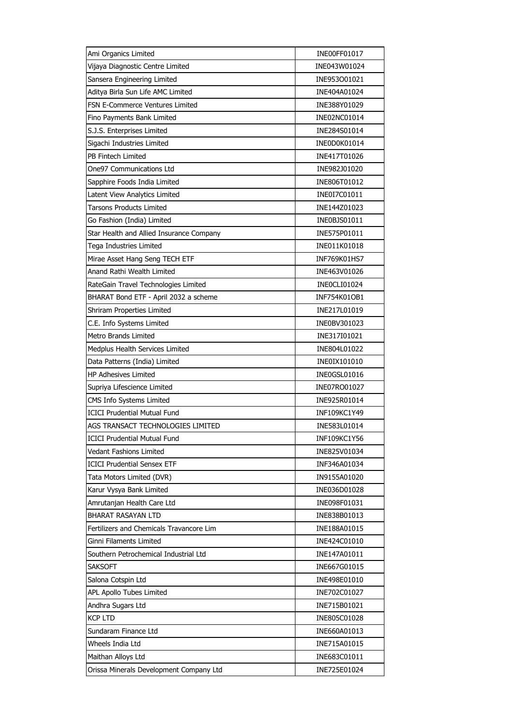| Ami Organics Limited                     | INE00FF01017 |
|------------------------------------------|--------------|
| Vijaya Diagnostic Centre Limited         | INE043W01024 |
| Sansera Engineering Limited              | INE953001021 |
| Aditya Birla Sun Life AMC Limited        | INE404A01024 |
| FSN E-Commerce Ventures Limited          | INE388Y01029 |
| Fino Payments Bank Limited               | INE02NC01014 |
| S.J.S. Enterprises Limited               | INE284S01014 |
| Sigachi Industries Limited               | INE0D0K01014 |
| PB Fintech Limited                       | INE417T01026 |
| One97 Communications Ltd                 | INE982J01020 |
| Sapphire Foods India Limited             | INE806T01012 |
| Latent View Analytics Limited            | INE0I7C01011 |
| <b>Tarsons Products Limited</b>          | INE144Z01023 |
| Go Fashion (India) Limited               | INE0BJS01011 |
| Star Health and Allied Insurance Company | INE575P01011 |
| Tega Industries Limited                  | INE011K01018 |
| Mirae Asset Hang Seng TECH ETF           | INF769K01HS7 |
| Anand Rathi Wealth Limited               | INE463V01026 |
| RateGain Travel Technologies Limited     | INEOCLI01024 |
| BHARAT Bond ETF - April 2032 a scheme    | INF754K01OB1 |
| Shriram Properties Limited               | INE217L01019 |
| C.E. Info Systems Limited                | INE0BV301023 |
| <b>Metro Brands Limited</b>              | INE317I01021 |
| Medplus Health Services Limited          | INE804L01022 |
| Data Patterns (India) Limited            | INE0IX101010 |
| <b>HP Adhesives Limited</b>              | INE0GSL01016 |
| Supriya Lifescience Limited              | INE07RO01027 |
| CMS Info Systems Limited                 | INE925R01014 |
| <b>ICICI Prudential Mutual Fund</b>      | INF109KC1Y49 |
| AGS TRANSACT TECHNOLOGIES LIMITED        | INE583L01014 |
| <b>ICICI Prudential Mutual Fund</b>      | INF109KC1Y56 |
| Vedant Fashions Limited                  | INE825V01034 |
| <b>ICICI Prudential Sensex ETF</b>       | INF346A01034 |
| Tata Motors Limited (DVR)                | IN9155A01020 |
| Karur Vysya Bank Limited                 | INE036D01028 |
| Amrutanjan Health Care Ltd               | INE098F01031 |
| <b>BHARAT RASAYAN LTD</b>                | INE838B01013 |
| Fertilizers and Chemicals Travancore Lim | INE188A01015 |
| Ginni Filaments Limited                  | INE424C01010 |
| Southern Petrochemical Industrial Ltd    | INE147A01011 |
| <b>SAKSOFT</b>                           | INE667G01015 |
| Salona Cotspin Ltd                       | INE498E01010 |
| APL Apollo Tubes Limited                 | INE702C01027 |
| Andhra Sugars Ltd                        | INE715B01021 |
| <b>KCP LTD</b>                           | INE805C01028 |
| Sundaram Finance Ltd                     | INE660A01013 |
| Wheels India Ltd                         | INE715A01015 |
| Maithan Alloys Ltd                       | INE683C01011 |
| Orissa Minerals Development Company Ltd  | INE725E01024 |